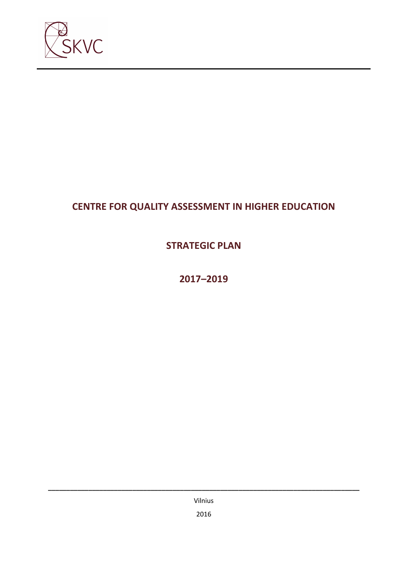

# **CENTRE FOR QUALITY ASSESSMENT IN HIGHER EDUCATION**

# **STRATEGIC PLAN**

# **2017–2019**

Vilnius 2016

**\_\_\_\_\_\_\_\_\_\_\_\_\_\_\_\_\_\_\_\_\_\_\_\_\_\_\_\_\_\_\_\_\_\_\_\_\_\_\_\_\_\_\_\_\_\_\_\_\_\_\_\_\_\_\_\_\_\_\_\_\_\_\_\_\_\_\_\_\_\_\_\_\_\_\_\_\_\_\_\_\_\_\_\_\_**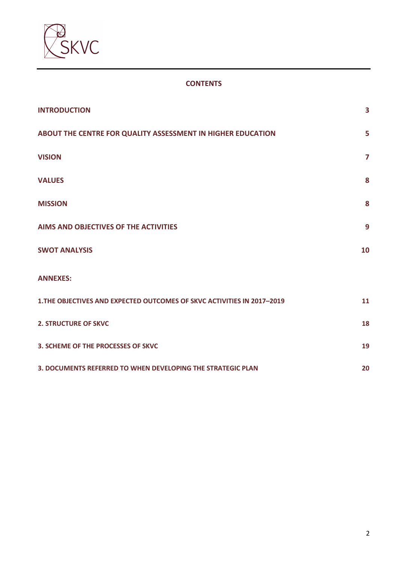

### **CONTENTS**

| <b>INTRODUCTION</b>                                                     | 3                       |
|-------------------------------------------------------------------------|-------------------------|
| ABOUT THE CENTRE FOR QUALITY ASSESSMENT IN HIGHER EDUCATION             | 5                       |
| <b>VISION</b>                                                           | $\overline{\mathbf{z}}$ |
| <b>VALUES</b>                                                           | 8                       |
| <b>MISSION</b>                                                          | 8                       |
| AIMS AND OBJECTIVES OF THE ACTIVITIES                                   | 9                       |
| <b>SWOT ANALYSIS</b>                                                    | 10                      |
| <b>ANNEXES:</b>                                                         |                         |
| 1. THE OBJECTIVES AND EXPECTED OUTCOMES OF SKVC ACTIVITIES IN 2017-2019 | 11                      |
| <b>2. STRUCTURE OF SKVC</b>                                             | 18                      |
| 3. SCHEME OF THE PROCESSES OF SKVC                                      | 19                      |
| 3. DOCUMENTS REFERRED TO WHEN DEVELOPING THE STRATEGIC PLAN             |                         |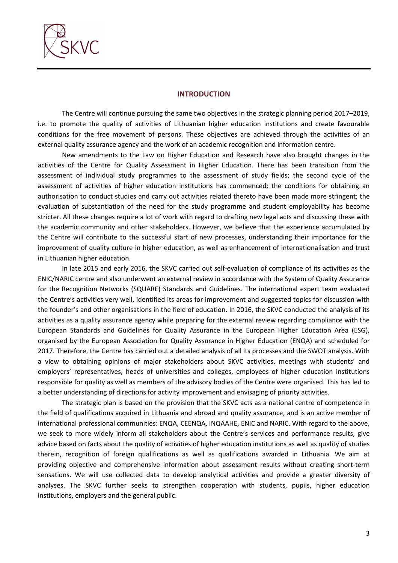

#### **INTRODUCTION**

The Centre will continue pursuing the same two objectives in the strategic planning period 2017–2019, i.e. to promote the quality of activities of Lithuanian higher education institutions and create favourable conditions for the free movement of persons. These objectives are achieved through the activities of an external quality assurance agency and the work of an academic recognition and information centre.

New amendments to the Law on Higher Education and Research have also brought changes in the activities of the Centre for Quality Assessment in Higher Education. There has been transition from the assessment of individual study programmes to the assessment of study fields; the second cycle of the assessment of activities of higher education institutions has commenced; the conditions for obtaining an authorisation to conduct studies and carry out activities related thereto have been made more stringent; the evaluation of substantiation of the need for the study programme and student employability has become stricter. All these changes require a lot of work with regard to drafting new legal acts and discussing these with the academic community and other stakeholders. However, we believe that the experience accumulated by the Centre will contribute to the successful start of new processes, understanding their importance for the improvement of quality culture in higher education, as well as enhancement of internationalisation and trust in Lithuanian higher education.

In late 2015 and early 2016, the SKVC carried out self-evaluation of compliance of its activities as the ENIC/NARIC centre and also underwent an external review in accordance with the System of Quality Assurance for the Recognition Networks (SQUARE) Standards and Guidelines. The international expert team evaluated the Centre's activities very well, identified its areas for improvement and suggested topics for discussion with the founder's and other organisations in the field of education. In 2016, the SKVC conducted the analysis of its activities as a quality assurance agency while preparing for the external review regarding compliance with the European Standards and Guidelines for Quality Assurance in the European Higher Education Area (ESG), organised by the European Association for Quality Assurance in Higher Education (ENQA) and scheduled for 2017. Therefore, the Centre has carried out a detailed analysis of all its processes and the SWOT analysis. With a view to obtaining opinions of major stakeholders about SKVC activities, meetings with students' and employers' representatives, heads of universities and colleges, employees of higher education institutions responsible for quality as well as members of the advisory bodies of the Centre were organised. This has led to a better understanding of directions for activity improvement and envisaging of priority activities.

The strategic plan is based on the provision that the SKVC acts as a national centre of competence in the field of qualifications acquired in Lithuania and abroad and quality assurance, and is an active member of international professional communities: ENQA, CEENQA, INQAAHE, ENIC and NARIC. With regard to the above, we seek to more widely inform all stakeholders about the Centre's services and performance results, give advice based on facts about the quality of activities of higher education institutions as well as quality of studies therein, recognition of foreign qualifications as well as qualifications awarded in Lithuania. We aim at providing objective and comprehensive information about assessment results without creating short-term sensations. We will use collected data to develop analytical activities and provide a greater diversity of analyses. The SKVC further seeks to strengthen cooperation with students, pupils, higher education institutions, employers and the general public.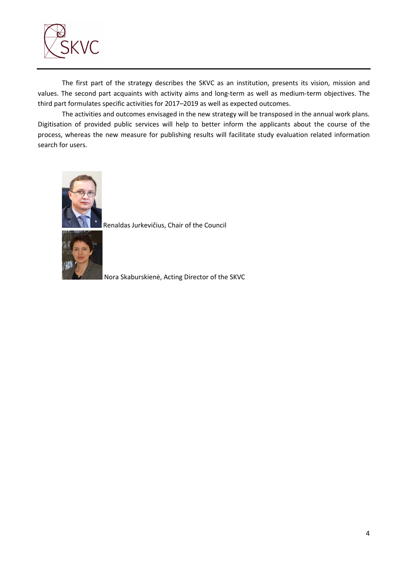

The first part of the strategy describes the SKVC as an institution, presents its vision, mission and values. The second part acquaints with activity aims and long-term as well as medium-term objectives. The third part formulates specific activities for 2017–2019 as well as expected outcomes.

The activities and outcomes envisaged in the new strategy will be transposed in the annual work plans. Digitisation of provided public services will help to better inform the applicants about the course of the process, whereas the new measure for publishing results will facilitate study evaluation related information search for users.



Renaldas Jurkevičius, Chair of the Council



Nora Skaburskienė, Acting Director of the SKVC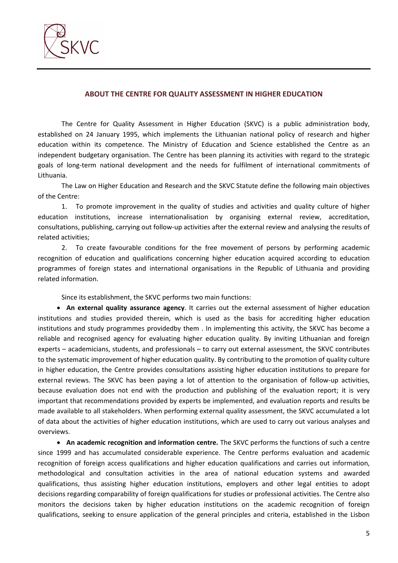

### **ABOUT THE CENTRE FOR QUALITY ASSESSMENT IN HIGHER EDUCATION**

The Centre for Quality Assessment in Higher Education (SKVC) is a public administration body, established on 24 January 1995, which implements the Lithuanian national policy of research and higher education within its competence. The Ministry of Education and Science established the Centre as an independent budgetary organisation. The Centre has been planning its activities with regard to the strategic goals of long-term national development and the needs for fulfilment of international commitments of Lithuania.

The Law on Higher Education and Research and the SKVC Statute define the following main objectives of the Centre:

1. To promote improvement in the quality of studies and activities and quality culture of higher education institutions, increase internationalisation by organising external review, accreditation, consultations, publishing, carrying out follow-up activities after the external review and analysing the results of related activities;

2. To create favourable conditions for the free movement of persons by performing academic recognition of education and qualifications concerning higher education acquired according to education programmes of foreign states and international organisations in the Republic of Lithuania and providing related information.

Since its establishment, the SKVC performs two main functions:

• **An external quality assurance agency**. It carries out the external assessment of higher education institutions and studies provided therein, which is used as the basis for accrediting higher education institutions and study programmes providedby them . In implementing this activity, the SKVC has become a reliable and recognised agency for evaluating higher education quality. By inviting Lithuanian and foreign experts – academicians, students, and professionals – to carry out external assessment, the SKVC contributes to the systematic improvement of higher education quality. By contributing to the promotion of quality culture in higher education, the Centre provides consultations assisting higher education institutions to prepare for external reviews. The SKVC has been paying a lot of attention to the organisation of follow-up activities, because evaluation does not end with the production and publishing of the evaluation report; it is very important that recommendations provided by experts be implemented, and evaluation reports and results be made available to all stakeholders. When performing external quality assessment, the SKVC accumulated a lot of data about the activities of higher education institutions, which are used to carry out various analyses and overviews.

• **An academic recognition and information centre.** The SKVC performs the functions of such a centre since 1999 and has accumulated considerable experience. The Centre performs evaluation and academic recognition of foreign access qualifications and higher education qualifications and carries out information, methodological and consultation activities in the area of national education systems and awarded qualifications, thus assisting higher education institutions, employers and other legal entities to adopt decisions regarding comparability of foreign qualifications for studies or professional activities. The Centre also monitors the decisions taken by higher education institutions on the academic recognition of foreign qualifications, seeking to ensure application of the general principles and criteria, established in the Lisbon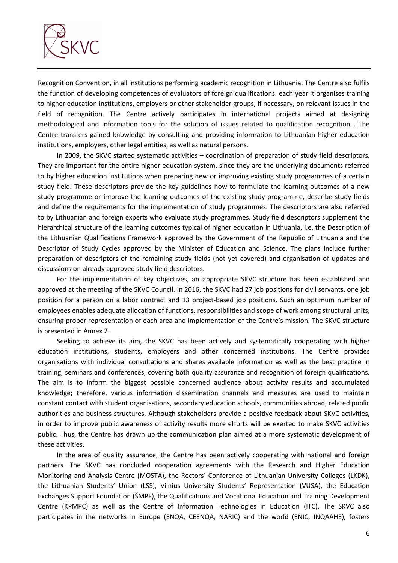

Recognition Convention, in all institutions performing academic recognition in Lithuania. The Centre also fulfils the function of developing competences of evaluators of foreign qualifications: each year it organises training to higher education institutions, employers or other stakeholder groups, if necessary, on relevant issues in the field of recognition. The Centre actively participates in international projects aimed at designing methodological and information tools for the solution of issues related to qualification recognition . The Centre transfers gained knowledge by consulting and providing information to Lithuanian higher education institutions, employers, other legal entities, as well as natural persons.

In 2009, the SKVC started systematic activities – coordination of preparation of study field descriptors. They are important for the entire higher education system, since they are the underlying documents referred to by higher education institutions when preparing new or improving existing study programmes of a certain study field. These descriptors provide the key guidelines how to formulate the learning outcomes of a new study programme or improve the learning outcomes of the existing study programme, describe study fields and define the requirements for the implementation of study programmes. The descriptors are also referred to by Lithuanian and foreign experts who evaluate study programmes. Study field descriptors supplement the hierarchical structure of the learning outcomes typical of higher education in Lithuania, i.e. the Description of the Lithuanian Qualifications Framework approved by the Government of the Republic of Lithuania and the Descriptor of Study Cycles approved by the Minister of Education and Science. The plans include further preparation of descriptors of the remaining study fields (not yet covered) and organisation of updates and discussions on already approved study field descriptors.

For the implementation of key objectives, an appropriate SKVC structure has been established and approved at the meeting of the SKVC Council. In 2016, the SKVC had 27 job positions for civil servants, one job position for a person on a labor contract and 13 project-based job positions. Such an optimum number of employees enables adequate allocation of functions, responsibilities and scope of work among structural units, ensuring proper representation of each area and implementation of the Centre's mission. The SKVC structure is presented in Annex 2.

Seeking to achieve its aim, the SKVC has been actively and systematically cooperating with higher education institutions, students, employers and other concerned institutions. The Centre provides organisations with individual consultations and shares available information as well as the best practice in training, seminars and conferences, covering both quality assurance and recognition of foreign qualifications. The aim is to inform the biggest possible concerned audience about activity results and accumulated knowledge; therefore, various information dissemination channels and measures are used to maintain constant contact with student organisations, secondary education schools, communities abroad, related public authorities and business structures. Although stakeholders provide a positive feedback about SKVC activities, in order to improve public awareness of activity results more efforts will be exerted to make SKVC activities public. Thus, the Centre has drawn up the communication plan aimed at a more systematic development of these activities.

In the area of quality assurance, the Centre has been actively cooperating with national and foreign partners. The SKVC has concluded cooperation agreements with the Research and Higher Education Monitoring and Analysis Centre (MOSTA), the Rectors' Conference of Lithuanian University Colleges (LKDK), the Lithuanian Students' Union (LSS), Vilnius University Students' Representation (VUSA), the Education Exchanges Support Foundation (ŠMPF), the Qualifications and Vocational Education and Training Development Centre (KPMPC) as well as the Centre of Information Technologies in Education (ITC). The SKVC also participates in the networks in Europe (ENQA, CEENQA, NARIC) and the world (ENIC, INQAAHE), fosters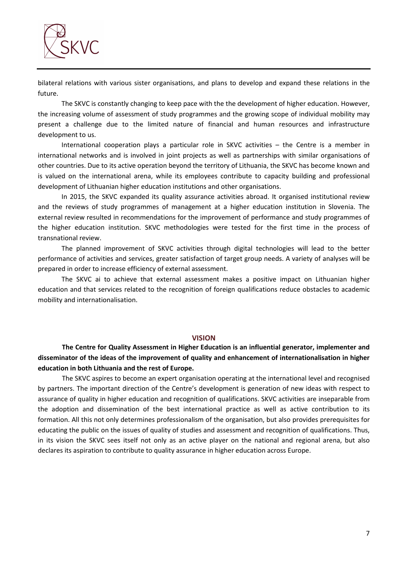

bilateral relations with various sister organisations, and plans to develop and expand these relations in the future.

The SKVC is constantly changing to keep pace with the the development of higher education. However, the increasing volume of assessment of study programmes and the growing scope of individual mobility may present a challenge due to the limited nature of financial and human resources and infrastructure development to us.

International cooperation plays a particular role in SKVC activities – the Centre is a member in international networks and is involved in joint projects as well as partnerships with similar organisations of other countries. Due to its active operation beyond the territory of Lithuania, the SKVC has become known and is valued on the international arena, while its employees contribute to capacity building and professional development of Lithuanian higher education institutions and other organisations.

In 2015, the SKVC expanded its quality assurance activities abroad. It organised institutional review and the reviews of study programmes of management at a higher education institution in Slovenia. The external review resulted in recommendations for the improvement of performance and study programmes of the higher education institution. SKVC methodologies were tested for the first time in the process of transnational review.

The planned improvement of SKVC activities through digital technologies will lead to the better performance of activities and services, greater satisfaction of target group needs. A variety of analyses will be prepared in order to increase efficiency of external assessment.

The SKVC ai to achieve that external assessment makes a positive impact on Lithuanian higher education and that services related to the recognition of foreign qualifications reduce obstacles to academic mobility and internationalisation.

#### **VISION**

**The Centre for Quality Assessment in Higher Education is an influential generator, implementer and disseminator of the ideas of the improvement of quality and enhancement of internationalisation in higher education in both Lithuania and the rest of Europe.** 

The SKVC aspires to become an expert organisation operating at the international level and recognised by partners. The important direction of the Centre's development is generation of new ideas with respect to assurance of quality in higher education and recognition of qualifications. SKVC activities are inseparable from the adoption and dissemination of the best international practice as well as active contribution to its formation. All this not only determines professionalism of the organisation, but also provides prerequisites for educating the public on the issues of quality of studies and assessment and recognition of qualifications. Thus, in its vision the SKVC sees itself not only as an active player on the national and regional arena, but also declares its aspiration to contribute to quality assurance in higher education across Europe.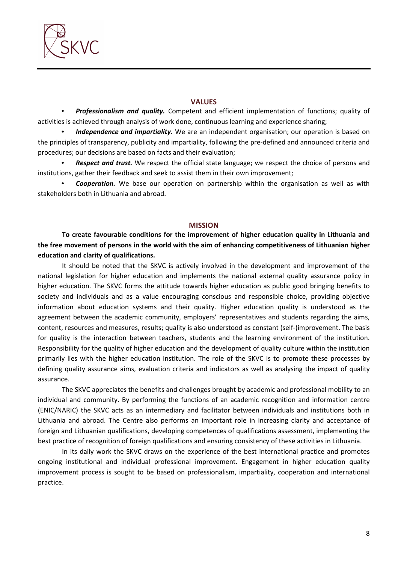

#### **VALUES**

• *Professionalism and quality.* Competent and efficient implementation of functions; quality of activities is achieved through analysis of work done, continuous learning and experience sharing;

• *Independence and impartiality.* We are an independent organisation; our operation is based on the principles of transparency, publicity and impartiality, following the pre-defined and announced criteria and procedures; our decisions are based on facts and their evaluation;

• *Respect and trust.* We respect the official state language; we respect the choice of persons and institutions, gather their feedback and seek to assist them in their own improvement;

• *Cooperation.* We base our operation on partnership within the organisation as well as with stakeholders both in Lithuania and abroad.

#### **MISSION**

**To create favourable conditions for the improvement of higher education quality in Lithuania and the free movement of persons in the world with the aim of enhancing competitiveness of Lithuanian higher education and clarity of qualifications.** 

It should be noted that the SKVC is actively involved in the development and improvement of the national legislation for higher education and implements the national external quality assurance policy in higher education. The SKVC forms the attitude towards higher education as public good bringing benefits to society and individuals and as a value encouraging conscious and responsible choice, providing objective information about education systems and their quality. Higher education quality is understood as the agreement between the academic community, employers' representatives and students regarding the aims, content, resources and measures, results; quality is also understood as constant (self-)improvement. The basis for quality is the interaction between teachers, students and the learning environment of the institution. Responsibility for the quality of higher education and the development of quality culture within the institution primarily lies with the higher education institution. The role of the SKVC is to promote these processes by defining quality assurance aims, evaluation criteria and indicators as well as analysing the impact of quality assurance.

The SKVC appreciates the benefits and challenges brought by academic and professional mobility to an individual and community. By performing the functions of an academic recognition and information centre (ENIC/NARIC) the SKVC acts as an intermediary and facilitator between individuals and institutions both in Lithuania and abroad. The Centre also performs an important role in increasing clarity and acceptance of foreign and Lithuanian qualifications, developing competences of qualifications assessment, implementing the best practice of recognition of foreign qualifications and ensuring consistency of these activities in Lithuania.

In its daily work the SKVC draws on the experience of the best international practice and promotes ongoing institutional and individual professional improvement. Engagement in higher education quality improvement process is sought to be based on professionalism, impartiality, cooperation and international practice.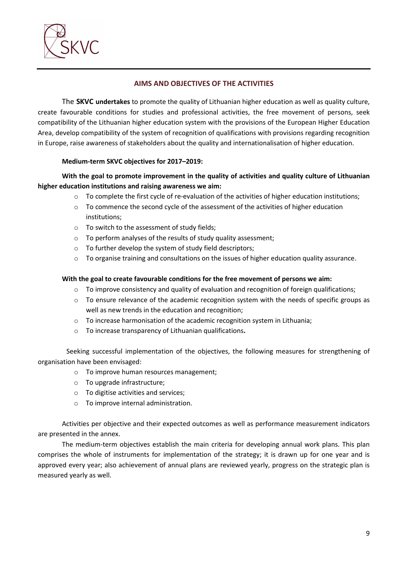

## **AIMS AND OBJECTIVES OF THE ACTIVITIES**

The **SKVC undertakes** to promote the quality of Lithuanian higher education as well as quality culture, create favourable conditions for studies and professional activities, the free movement of persons, seek compatibility of the Lithuanian higher education system with the provisions of the European Higher Education Area, develop compatibility of the system of recognition of qualifications with provisions regarding recognition in Europe, raise awareness of stakeholders about the quality and internationalisation of higher education.

### **Medium-term SKVC objectives for 2017–2019:**

# **With the goal to promote improvement in the quality of activities and quality culture of Lithuanian higher education institutions and raising awareness we aim:**

- $\circ$  To complete the first cycle of re-evaluation of the activities of higher education institutions;
- $\circ$  To commence the second cycle of the assessment of the activities of higher education institutions;
- o To switch to the assessment of study fields;
- o To perform analyses of the results of study quality assessment;
- o To further develop the system of study field descriptors;
- o To organise training and consultations on the issues of higher education quality assurance.

### **With the goal to create favourable conditions for the free movement of persons we aim:**

- $\circ$  To improve consistency and quality of evaluation and recognition of foreign qualifications;
- $\circ$  To ensure relevance of the academic recognition system with the needs of specific groups as well as new trends in the education and recognition;
- o To increase harmonisation of the academic recognition system in Lithuania;
- o To increase transparency of Lithuanian qualifications**.**

Seeking successful implementation of the objectives, the following measures for strengthening of organisation have been envisaged:

- o To improve human resources management;
- o To upgrade infrastructure;
- o To digitise activities and services;
- o To improve internal administration.

Activities per objective and their expected outcomes as well as performance measurement indicators are presented in the annex.

The medium-term objectives establish the main criteria for developing annual work plans. This plan comprises the whole of instruments for implementation of the strategy; it is drawn up for one year and is approved every year; also achievement of annual plans are reviewed yearly, progress on the strategic plan is measured yearly as well.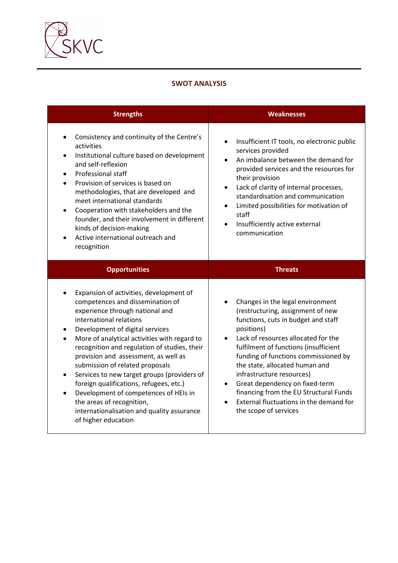

## **SWOT ANALYSIS**

| <b>Strengths</b>                                                                                                                                                                                                                                                                                                                                                                                                                                                                                                                                                                                                                    | <b>Weaknesses</b>                                                                                                                                                                                                                                                                                                                                                                                                                                                                                        |  |  |
|-------------------------------------------------------------------------------------------------------------------------------------------------------------------------------------------------------------------------------------------------------------------------------------------------------------------------------------------------------------------------------------------------------------------------------------------------------------------------------------------------------------------------------------------------------------------------------------------------------------------------------------|----------------------------------------------------------------------------------------------------------------------------------------------------------------------------------------------------------------------------------------------------------------------------------------------------------------------------------------------------------------------------------------------------------------------------------------------------------------------------------------------------------|--|--|
| Consistency and continuity of the Centre's<br>$\bullet$<br>activities<br>Institutional culture based on development<br>$\bullet$<br>and self-reflexion<br>Professional staff<br>Provision of services is based on<br>methodologies, that are developed and<br>meet international standards<br>Cooperation with stakeholders and the<br>$\bullet$<br>founder, and their involvement in different<br>kinds of decision-making<br>Active international outreach and<br>recognition                                                                                                                                                     | Insufficient IT tools, no electronic public<br>services provided<br>An imbalance between the demand for<br>$\bullet$<br>provided services and the resources for<br>their provision<br>Lack of clarity of internal processes,<br>$\bullet$<br>standardisation and communication<br>Limited possibilities for motivation of<br>$\bullet$<br>staff<br>Insufficiently active external<br>communication                                                                                                       |  |  |
| <b>Opportunities</b>                                                                                                                                                                                                                                                                                                                                                                                                                                                                                                                                                                                                                | <b>Threats</b>                                                                                                                                                                                                                                                                                                                                                                                                                                                                                           |  |  |
| Expansion of activities, development of<br>competences and dissemination of<br>experience through national and<br>international relations<br>Development of digital services<br>$\bullet$<br>More of analytical activities with regard to<br>recognition and regulation of studies, their<br>provision and assessment, as well as<br>submission of related proposals<br>Services to new target groups (providers of<br>$\bullet$<br>foreign qualifications, refugees, etc.)<br>Development of competences of HEIs in<br>$\bullet$<br>the areas of recognition,<br>internationalisation and quality assurance<br>of higher education | Changes in the legal environment<br>(restructuring, assignment of new<br>functions, cuts in budget and staff<br>positions)<br>Lack of resources allocated for the<br>$\bullet$<br>fulfilment of functions (insufficient<br>funding of functions commissioned by<br>the state, allocated human and<br>infrastructure resources)<br>Great dependency on fixed-term<br>$\bullet$<br>financing from the EU Structural Funds<br>External fluctuations in the demand for<br>$\bullet$<br>the scope of services |  |  |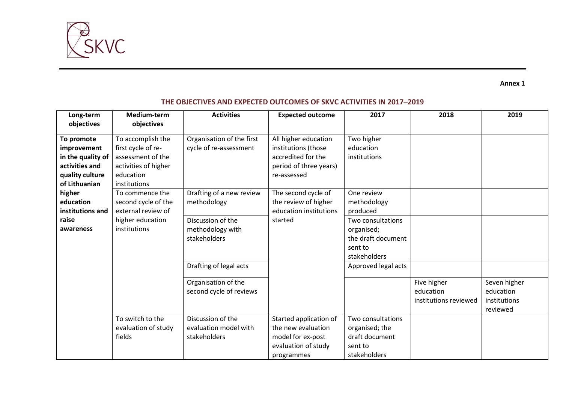

**Annex 1** 

### **THE OBJECTIVES AND EXPECTED OUTCOMES OF SKVC ACTIVITIES IN 2017–2019**

| Long-term<br>objectives                                                                              | Medium-term<br>objectives                                                                                         | <b>Activities</b>                                          | <b>Expected outcome</b>                                                                                    | 2017                                                                             | 2018                                              | 2019                                                  |
|------------------------------------------------------------------------------------------------------|-------------------------------------------------------------------------------------------------------------------|------------------------------------------------------------|------------------------------------------------------------------------------------------------------------|----------------------------------------------------------------------------------|---------------------------------------------------|-------------------------------------------------------|
| To promote<br>improvement<br>in the quality of<br>activities and<br>quality culture<br>of Lithuanian | To accomplish the<br>first cycle of re-<br>assessment of the<br>activities of higher<br>education<br>institutions | Organisation of the first<br>cycle of re-assessment        | All higher education<br>institutions (those<br>accredited for the<br>period of three years)<br>re-assessed | Two higher<br>education<br>institutions                                          |                                                   |                                                       |
| higher<br>education<br>institutions and                                                              | To commence the<br>second cycle of the<br>external review of                                                      | Drafting of a new review<br>methodology                    | The second cycle of<br>the review of higher<br>education institutions                                      | One review<br>methodology<br>produced                                            |                                                   |                                                       |
| raise<br>awareness                                                                                   | higher education<br>institutions                                                                                  | Discussion of the<br>methodology with<br>stakeholders      | started                                                                                                    | Two consultations<br>organised;<br>the draft document<br>sent to<br>stakeholders |                                                   |                                                       |
|                                                                                                      |                                                                                                                   | Drafting of legal acts                                     |                                                                                                            | Approved legal acts                                                              |                                                   |                                                       |
|                                                                                                      |                                                                                                                   | Organisation of the<br>second cycle of reviews             |                                                                                                            |                                                                                  | Five higher<br>education<br>institutions reviewed | Seven higher<br>education<br>institutions<br>reviewed |
|                                                                                                      | To switch to the<br>evaluation of study<br>fields                                                                 | Discussion of the<br>evaluation model with<br>stakeholders | Started application of<br>the new evaluation<br>model for ex-post<br>evaluation of study<br>programmes     | Two consultations<br>organised; the<br>draft document<br>sent to<br>stakeholders |                                                   |                                                       |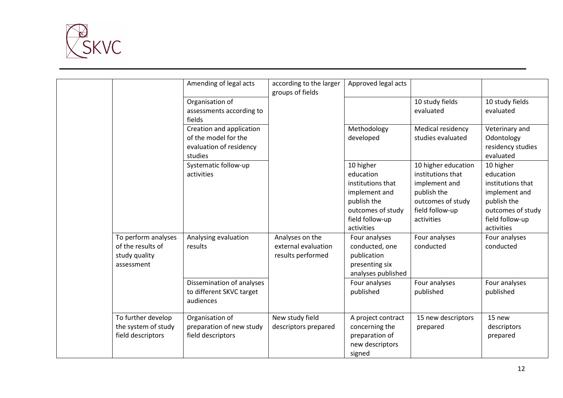

|                                                                         | Amending of legal acts                                                      | according to the larger<br>groups of fields                 | Approved legal acts                                                                                                                                                                                   |                                                                                                                                                              |                                                                                                                                                                 |
|-------------------------------------------------------------------------|-----------------------------------------------------------------------------|-------------------------------------------------------------|-------------------------------------------------------------------------------------------------------------------------------------------------------------------------------------------------------|--------------------------------------------------------------------------------------------------------------------------------------------------------------|-----------------------------------------------------------------------------------------------------------------------------------------------------------------|
|                                                                         | Organisation of                                                             |                                                             |                                                                                                                                                                                                       | 10 study fields                                                                                                                                              | 10 study fields                                                                                                                                                 |
|                                                                         | assessments according to<br>fields                                          |                                                             |                                                                                                                                                                                                       | evaluated                                                                                                                                                    | evaluated                                                                                                                                                       |
|                                                                         | Creation and application<br>of the model for the<br>evaluation of residency |                                                             | Methodology<br>developed                                                                                                                                                                              | Medical residency<br>studies evaluated                                                                                                                       | Veterinary and<br>Odontology<br>residency studies                                                                                                               |
|                                                                         | studies                                                                     |                                                             |                                                                                                                                                                                                       |                                                                                                                                                              | evaluated                                                                                                                                                       |
| To perform analyses<br>of the results of<br>study quality<br>assessment | Systematic follow-up<br>activities<br>Analysing evaluation<br>results       | Analyses on the<br>external evaluation<br>results performed | 10 higher<br>education<br>institutions that<br>implement and<br>publish the<br>outcomes of study<br>field follow-up<br>activities<br>Four analyses<br>conducted, one<br>publication<br>presenting six | 10 higher education<br>institutions that<br>implement and<br>publish the<br>outcomes of study<br>field follow-up<br>activities<br>Four analyses<br>conducted | 10 higher<br>education<br>institutions that<br>implement and<br>publish the<br>outcomes of study<br>field follow-up<br>activities<br>Four analyses<br>conducted |
|                                                                         | Dissemination of analyses<br>to different SKVC target<br>audiences          |                                                             | analyses published<br>Four analyses<br>published                                                                                                                                                      | Four analyses<br>published                                                                                                                                   | Four analyses<br>published                                                                                                                                      |
| To further develop<br>the system of study<br>field descriptors          | Organisation of<br>preparation of new study<br>field descriptors            | New study field<br>descriptors prepared                     | A project contract<br>concerning the<br>preparation of<br>new descriptors<br>signed                                                                                                                   | 15 new descriptors<br>prepared                                                                                                                               | 15 new<br>descriptors<br>prepared                                                                                                                               |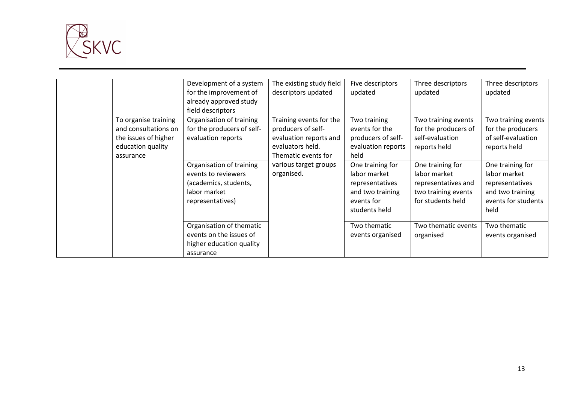

|                                                                                                        | Development of a system<br>for the improvement of<br>already approved study<br>field descriptors             | The existing study field<br>descriptors updated                                                                    | Five descriptors<br>updated                                                                            | Three descriptors<br>updated                                                                        | Three descriptors<br>updated                                                                           |
|--------------------------------------------------------------------------------------------------------|--------------------------------------------------------------------------------------------------------------|--------------------------------------------------------------------------------------------------------------------|--------------------------------------------------------------------------------------------------------|-----------------------------------------------------------------------------------------------------|--------------------------------------------------------------------------------------------------------|
| To organise training<br>and consultations on<br>the issues of higher<br>education quality<br>assurance | Organisation of training<br>for the producers of self-<br>evaluation reports                                 | Training events for the<br>producers of self-<br>evaluation reports and<br>evaluators held.<br>Thematic events for | Two training<br>events for the<br>producers of self-<br>evaluation reports<br>held                     | Two training events<br>for the producers of<br>self-evaluation<br>reports held                      | Two training events<br>for the producers<br>of self-evaluation<br>reports held                         |
|                                                                                                        | Organisation of training<br>events to reviewers<br>(academics, students,<br>labor market<br>representatives) | various target groups<br>organised.                                                                                | One training for<br>labor market<br>representatives<br>and two training<br>events for<br>students held | One training for<br>labor market<br>representatives and<br>two training events<br>for students held | One training for<br>labor market<br>representatives<br>and two training<br>events for students<br>held |
|                                                                                                        | Organisation of thematic<br>events on the issues of<br>higher education quality<br>assurance                 |                                                                                                                    | Two thematic<br>events organised                                                                       | Two thematic events<br>organised                                                                    | Two thematic<br>events organised                                                                       |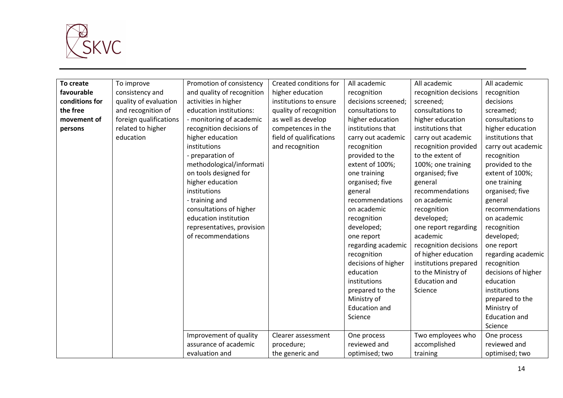

| To create      | To improve             | Promotion of consistency   | Created conditions for  | All academic         | All academic          | All academic         |
|----------------|------------------------|----------------------------|-------------------------|----------------------|-----------------------|----------------------|
| favourable     | consistency and        | and quality of recognition | higher education        | recognition          | recognition decisions | recognition          |
| conditions for | quality of evaluation  | activities in higher       | institutions to ensure  | decisions screened;  | screened;             | decisions            |
| the free       | and recognition of     | education institutions:    | quality of recognition  | consultations to     | consultations to      | screamed;            |
| movement of    | foreign qualifications | - monitoring of academic   | as well as develop      | higher education     | higher education      | consultations to     |
| persons        | related to higher      | recognition decisions of   | competences in the      | institutions that    | institutions that     | higher education     |
|                | education              | higher education           | field of qualifications | carry out academic   | carry out academic    | institutions that    |
|                |                        | institutions               | and recognition         | recognition          | recognition provided  | carry out academic   |
|                |                        | - preparation of           |                         | provided to the      | to the extent of      | recognition          |
|                |                        | methodological/informati   |                         | extent of 100%;      | 100%; one training    | provided to the      |
|                |                        | on tools designed for      |                         | one training         | organised; five       | extent of 100%;      |
|                |                        | higher education           |                         | organised; five      | general               | one training         |
|                |                        | institutions               |                         | general              | recommendations       | organised; five      |
|                |                        | - training and             |                         | recommendations      | on academic           | general              |
|                |                        | consultations of higher    |                         | on academic          | recognition           | recommendations      |
|                |                        | education institution      |                         | recognition          | developed;            | on academic          |
|                |                        | representatives, provision |                         | developed;           | one report regarding  | recognition          |
|                |                        | of recommendations         |                         | one report           | academic              | developed;           |
|                |                        |                            |                         | regarding academic   | recognition decisions | one report           |
|                |                        |                            |                         | recognition          | of higher education   | regarding academic   |
|                |                        |                            |                         | decisions of higher  | institutions prepared | recognition          |
|                |                        |                            |                         | education            | to the Ministry of    | decisions of higher  |
|                |                        |                            |                         | institutions         | <b>Education and</b>  | education            |
|                |                        |                            |                         | prepared to the      | Science               | institutions         |
|                |                        |                            |                         | Ministry of          |                       | prepared to the      |
|                |                        |                            |                         | <b>Education and</b> |                       | Ministry of          |
|                |                        |                            |                         | Science              |                       | <b>Education and</b> |
|                |                        |                            |                         |                      |                       | Science              |
|                |                        | Improvement of quality     | Clearer assessment      | One process          | Two employees who     | One process          |
|                |                        | assurance of academic      | procedure;              | reviewed and         | accomplished          | reviewed and         |
|                |                        | evaluation and             | the generic and         | optimised; two       | training              | optimised; two       |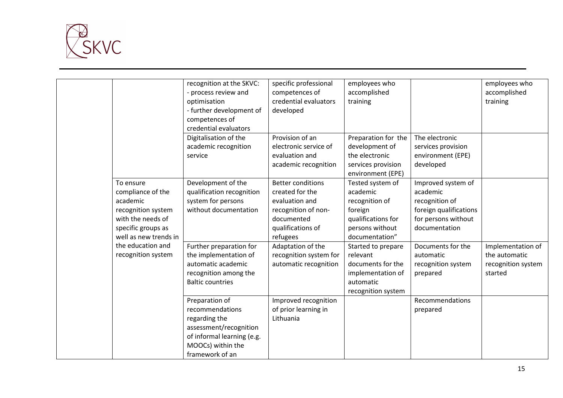

|                                                                                                                                      | recognition at the SKVC:<br>- process review and<br>optimisation<br>- further development of<br>competences of<br>credential evaluators            | specific professional<br>competences of<br>credential evaluators<br>developed                                                       | employees who<br>accomplished<br>training                                                                            |                                                                                                                    | employees who<br>accomplished<br>training                           |
|--------------------------------------------------------------------------------------------------------------------------------------|----------------------------------------------------------------------------------------------------------------------------------------------------|-------------------------------------------------------------------------------------------------------------------------------------|----------------------------------------------------------------------------------------------------------------------|--------------------------------------------------------------------------------------------------------------------|---------------------------------------------------------------------|
|                                                                                                                                      | Digitalisation of the<br>academic recognition<br>service                                                                                           | Provision of an<br>electronic service of<br>evaluation and<br>academic recognition                                                  | Preparation for the<br>development of<br>the electronic<br>services provision<br>environment (EPE)                   | The electronic<br>services provision<br>environment (EPE)<br>developed                                             |                                                                     |
| To ensure<br>compliance of the<br>academic<br>recognition system<br>with the needs of<br>specific groups as<br>well as new trends in | Development of the<br>qualification recognition<br>system for persons<br>without documentation                                                     | <b>Better conditions</b><br>created for the<br>evaluation and<br>recognition of non-<br>documented<br>qualifications of<br>refugees | Tested system of<br>academic<br>recognition of<br>foreign<br>qualifications for<br>persons without<br>documentation" | Improved system of<br>academic<br>recognition of<br>foreign qualifications<br>for persons without<br>documentation |                                                                     |
| the education and<br>recognition system                                                                                              | Further preparation for<br>the implementation of<br>automatic academic<br>recognition among the<br><b>Baltic countries</b>                         | Adaptation of the<br>recognition system for<br>automatic recognition                                                                | Started to prepare<br>relevant<br>documents for the<br>implementation of<br>automatic<br>recognition system          | Documents for the<br>automatic<br>recognition system<br>prepared                                                   | Implementation of<br>the automatic<br>recognition system<br>started |
|                                                                                                                                      | Preparation of<br>recommendations<br>regarding the<br>assessment/recognition<br>of informal learning (e.g.<br>MOOCs) within the<br>framework of an | Improved recognition<br>of prior learning in<br>Lithuania                                                                           |                                                                                                                      | Recommendations<br>prepared                                                                                        |                                                                     |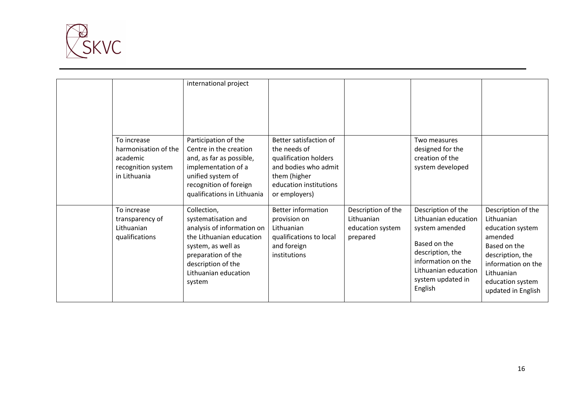

|                                                                                       | international project                                                                                                                                                                            |                                                                                                                                                    |                                                                  |                                                                                                                                                                                |                                                                                                                                                                                   |
|---------------------------------------------------------------------------------------|--------------------------------------------------------------------------------------------------------------------------------------------------------------------------------------------------|----------------------------------------------------------------------------------------------------------------------------------------------------|------------------------------------------------------------------|--------------------------------------------------------------------------------------------------------------------------------------------------------------------------------|-----------------------------------------------------------------------------------------------------------------------------------------------------------------------------------|
| To increase<br>harmonisation of the<br>academic<br>recognition system<br>in Lithuania | Participation of the<br>Centre in the creation<br>and, as far as possible,<br>implementation of a<br>unified system of<br>recognition of foreign<br>qualifications in Lithuania                  | Better satisfaction of<br>the needs of<br>qualification holders<br>and bodies who admit<br>them (higher<br>education institutions<br>or employers) |                                                                  | Two measures<br>designed for the<br>creation of the<br>system developed                                                                                                        |                                                                                                                                                                                   |
| To increase<br>transparency of<br>Lithuanian<br>qualifications                        | Collection,<br>systematisation and<br>analysis of information on<br>the Lithuanian education<br>system, as well as<br>preparation of the<br>description of the<br>Lithuanian education<br>system | <b>Better information</b><br>provision on<br>Lithuanian<br>qualifications to local<br>and foreign<br>institutions                                  | Description of the<br>Lithuanian<br>education system<br>prepared | Description of the<br>Lithuanian education<br>system amended<br>Based on the<br>description, the<br>information on the<br>Lithuanian education<br>system updated in<br>English | Description of the<br>Lithuanian<br>education system<br>amended<br>Based on the<br>description, the<br>information on the<br>Lithuanian<br>education system<br>updated in English |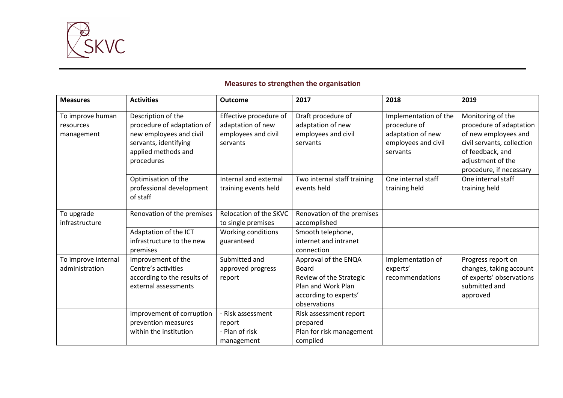

# **Measures to strengthen the organisation**

| <b>Measures</b>                             | <b>Activities</b>                                                                                                                         | <b>Outcome</b>                                                                 | 2017                                                                                                                           | 2018                                                                                          | 2019                                                                                                                                                                   |
|---------------------------------------------|-------------------------------------------------------------------------------------------------------------------------------------------|--------------------------------------------------------------------------------|--------------------------------------------------------------------------------------------------------------------------------|-----------------------------------------------------------------------------------------------|------------------------------------------------------------------------------------------------------------------------------------------------------------------------|
| To improve human<br>resources<br>management | Description of the<br>procedure of adaptation of<br>new employees and civil<br>servants, identifying<br>applied methods and<br>procedures | Effective procedure of<br>adaptation of new<br>employees and civil<br>servants | Draft procedure of<br>adaptation of new<br>employees and civil<br>servants                                                     | Implementation of the<br>procedure of<br>adaptation of new<br>employees and civil<br>servants | Monitoring of the<br>procedure of adaptation<br>of new employees and<br>civil servants, collection<br>of feedback, and<br>adjustment of the<br>procedure, if necessary |
|                                             | Optimisation of the<br>professional development<br>of staff                                                                               | Internal and external<br>training events held                                  | Two internal staff training<br>events held                                                                                     | One internal staff<br>training held                                                           | One internal staff<br>training held                                                                                                                                    |
| To upgrade<br>infrastructure                | Renovation of the premises                                                                                                                | Relocation of the SKVC<br>to single premises                                   | Renovation of the premises<br>accomplished                                                                                     |                                                                                               |                                                                                                                                                                        |
|                                             | Adaptation of the ICT<br>infrastructure to the new<br>premises                                                                            | Working conditions<br>guaranteed                                               | Smooth telephone,<br>internet and intranet<br>connection                                                                       |                                                                                               |                                                                                                                                                                        |
| To improve internal<br>administration       | Improvement of the<br>Centre's activities<br>according to the results of<br>external assessments                                          | Submitted and<br>approved progress<br>report                                   | Approval of the ENQA<br><b>Board</b><br>Review of the Strategic<br>Plan and Work Plan<br>according to experts'<br>observations | Implementation of<br>experts'<br>recommendations                                              | Progress report on<br>changes, taking account<br>of experts' observations<br>submitted and<br>approved                                                                 |
|                                             | Improvement of corruption<br>prevention measures<br>within the institution                                                                | - Risk assessment<br>report<br>- Plan of risk<br>management                    | Risk assessment report<br>prepared<br>Plan for risk management<br>compiled                                                     |                                                                                               |                                                                                                                                                                        |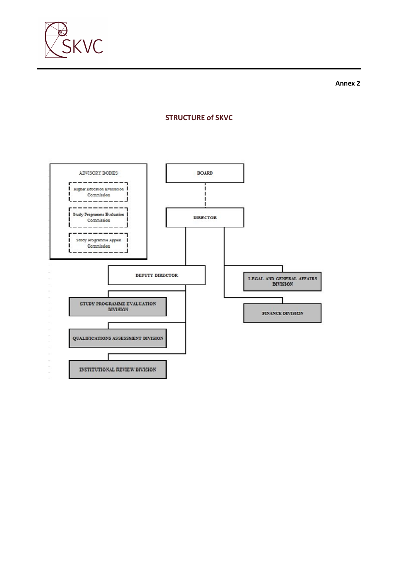

# **STRUCTURE of SKVC**

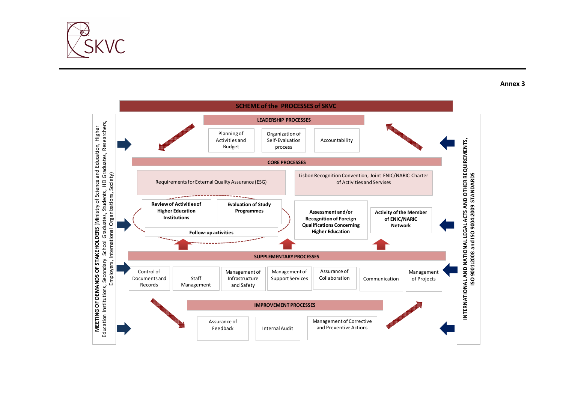



Annex 3